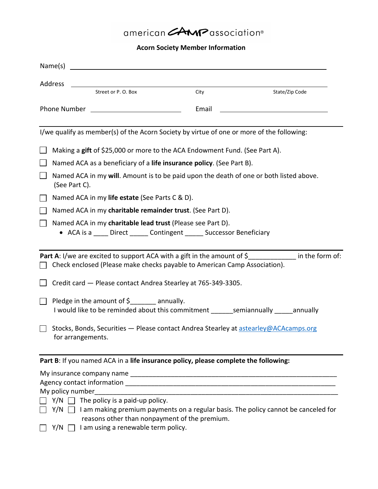## american **CAMP** association®

## **Acorn Society Member Information**

| Name(s)<br><u> 1989 - Johann Barbara, martin amerikan basal dan berasal dan berasal dalam basal dan berasal dan berasal dan</u>                                  |       |                                                                                    |  |  |
|------------------------------------------------------------------------------------------------------------------------------------------------------------------|-------|------------------------------------------------------------------------------------|--|--|
| Address                                                                                                                                                          |       |                                                                                    |  |  |
| Street or P.O. Box                                                                                                                                               | City  | State/Zip Code                                                                     |  |  |
| Phone Number <u>_______________________</u>                                                                                                                      | Email |                                                                                    |  |  |
| I/we qualify as member(s) of the Acorn Society by virtue of one or more of the following:                                                                        |       |                                                                                    |  |  |
| Making a gift of \$25,000 or more to the ACA Endowment Fund. (See Part A).                                                                                       |       |                                                                                    |  |  |
| Named ACA as a beneficiary of a life insurance policy. (See Part B).                                                                                             |       |                                                                                    |  |  |
| Named ACA in my will. Amount is to be paid upon the death of one or both listed above.<br>(See Part C).                                                          |       |                                                                                    |  |  |
| Named ACA in my life estate (See Parts C & D).                                                                                                                   |       |                                                                                    |  |  |
| Named ACA in my charitable remainder trust. (See Part D).                                                                                                        |       |                                                                                    |  |  |
| Named ACA in my charitable lead trust (Please see Part D).<br>• ACA is a ____ Direct ______ Contingent _____ Successor Beneficiary                               |       |                                                                                    |  |  |
| <b>Part A:</b> I/we are excited to support ACA with a gift in the amount of $\oint$<br>Check enclosed (Please make checks payable to American Camp Association). |       | in the form of:                                                                    |  |  |
| Credit card - Please contact Andrea Stearley at 765-349-3305.                                                                                                    |       |                                                                                    |  |  |
| Pledge in the amount of $\frac{1}{2}$ annually.<br>I would like to be reminded about this commitment _______semiannually _____annually                           |       |                                                                                    |  |  |
| Stocks, Bonds, Securities - Please contact Andrea Stearley at astearley@ACAcamps.org<br>for arrangements.                                                        |       |                                                                                    |  |  |
| Part B: If you named ACA in a life insurance policy, please complete the following:                                                                              |       |                                                                                    |  |  |
| My policy number                                                                                                                                                 |       |                                                                                    |  |  |
| $Y/N$ $\Box$ The policy is a paid-up policy.                                                                                                                     |       |                                                                                    |  |  |
| Y/N                                                                                                                                                              |       | I am making premium payments on a regular basis. The policy cannot be canceled for |  |  |
| reasons other than nonpayment of the premium.<br>I am using a renewable term policy.<br>Y/N                                                                      |       |                                                                                    |  |  |